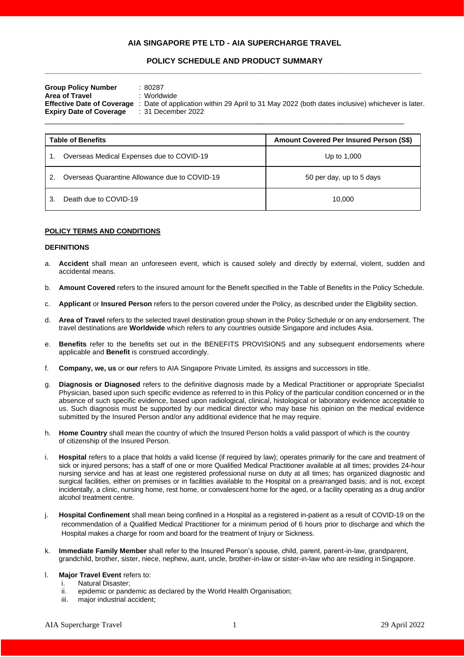# **AIA SINGAPORE PTE LTD - AIA SUPERCHARGE TRAVEL**

# **POLICY SCHEDULE AND PRODUCT SUMMARY \_\_\_\_\_\_\_\_\_\_\_\_\_\_\_\_\_\_\_\_\_\_\_\_\_\_\_\_\_\_\_\_\_\_\_\_\_\_\_\_\_\_\_\_\_\_\_\_\_\_\_\_\_\_\_\_\_\_\_\_\_\_\_\_\_\_\_\_\_\_\_\_\_\_\_\_\_\_\_\_\_\_\_\_\_\_\_**

| <b>Group Policy Number</b><br>Area of Travel<br><b>Expiry Date of Coverage</b> | 80287<br>: Worldwide<br>Effective Date of Coverage : Date of application within 29 April to 31 May 2022 (both dates inclusive) whichever is later.<br>:31 December 2022 |
|--------------------------------------------------------------------------------|-------------------------------------------------------------------------------------------------------------------------------------------------------------------------|
|--------------------------------------------------------------------------------|-------------------------------------------------------------------------------------------------------------------------------------------------------------------------|

| <b>Table of Benefits</b> |                                               | Amount Covered Per Insured Person (S\$) |
|--------------------------|-----------------------------------------------|-----------------------------------------|
|                          | Overseas Medical Expenses due to COVID-19     | Up to 1,000                             |
| 2.                       | Overseas Quarantine Allowance due to COVID-19 | 50 per day, up to 5 days                |
|                          | Death due to COVID-19                         | 10.000                                  |

# **POLICY TERMS AND CONDITIONS**

#### **DEFINITIONS**

- a. **Accident** shall mean an unforeseen event, which is caused solely and directly by external, violent, sudden and accidental means.
- b. **Amount Covered** refers to the insured amount for the Benefit specified in the Table of Benefits in the Policy Schedule.
- c. **Applicant** or **Insured Person** refers to the person covered under the Policy, as described under the Eligibility section.
- d. **Area of Travel** refers to the selected travel destination group shown in the Policy Schedule or on any endorsement. The travel destinations are **Worldwide** which refers to any countries outside Singapore and includes Asia.
- e. **Benefits** refer to the benefits set out in the BENEFITS PROVISIONS and any subsequent endorsements where applicable and **Benefit** is construed accordingly.
- f. **Company, we, us** or **our** refers to AIA Singapore Private Limited, its assigns and successors in title.
- g. **Diagnosis or Diagnosed** refers to the definitive diagnosis made by a Medical Practitioner or appropriate Specialist Physician, based upon such specific evidence as referred to in this Policy of the particular condition concerned or in the absence of such specific evidence, based upon radiological, clinical, histological or laboratory evidence acceptable to us. Such diagnosis must be supported by our medical director who may base his opinion on the medical evidence submitted by the Insured Person and/or any additional evidence that he may require.
- h. **Home Country** shall mean the country of which the Insured Person holds a valid passport of which is the country of citizenship of the Insured Person.
- i. **Hospital** refers to a place that holds a valid license (if required by law); operates primarily for the care and treatment of sick or injured persons; has a staff of one or more Qualified Medical Practitioner available at all times; provides 24-hour nursing service and has at least one registered professional nurse on duty at all times; has organized diagnostic and surgical facilities, either on premises or in facilities available to the Hospital on a prearranged basis; and is not, except incidentally, a clinic, nursing home, rest home, or convalescent home for the aged, or a facility operating as a drug and/or alcohol treatment centre.
- j. **Hospital Confinement** shall mean being confined in a Hospital as a registered in-patient as a result of COVID-19 on the recommendation of a Qualified Medical Practitioner for a minimum period of 6 hours prior to discharge and which the Hospital makes a charge for room and board for the treatment of Injury or Sickness.
- k. **Immediate Family Member** shall refer to the Insured Person's spouse, child, parent, parent-in-law, grandparent, grandchild, brother, sister, niece, nephew, aunt, uncle, brother-in-law or sister-in-law who are residing inSingapore.
- l. **Major Travel Event** refers to:
	- i. Natural Disaster;
	- ii. epidemic or pandemic as declared by the World Health Organisation;
	- iii. major industrial accident;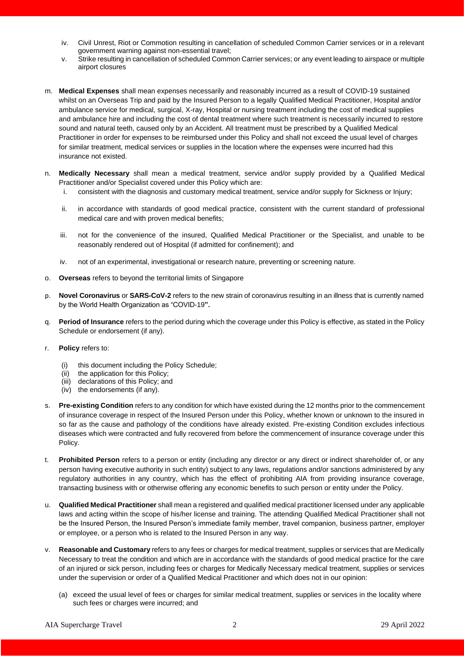- iv. Civil Unrest, Riot or Commotion resulting in cancellation of scheduled Common Carrier services or in a relevant government warning against non-essential travel;
- v. Strike resulting in cancellation of scheduled Common Carrier services; or any event leading to airspace or multiple airport closures
- m. **Medical Expenses** shall mean expenses necessarily and reasonably incurred as a result of COVID-19 sustained whilst on an Overseas Trip and paid by the Insured Person to a legally Qualified Medical Practitioner, Hospital and/or ambulance service for medical, surgical, X-ray, Hospital or nursing treatment including the cost of medical supplies and ambulance hire and including the cost of dental treatment where such treatment is necessarily incurred to restore sound and natural teeth, caused only by an Accident. All treatment must be prescribed by a Qualified Medical Practitioner in order for expenses to be reimbursed under this Policy and shall not exceed the usual level of charges for similar treatment, medical services or supplies in the location where the expenses were incurred had this insurance not existed.
- n. **Medically Necessary** shall mean a medical treatment, service and/or supply provided by a Qualified Medical Practitioner and/or Specialist covered under this Policy which are:
	- i. consistent with the diagnosis and customary medical treatment, service and/or supply for Sickness or Injury;
	- ii. in accordance with standards of good medical practice, consistent with the current standard of professional medical care and with proven medical benefits;
	- iii. not for the convenience of the insured, Qualified Medical Practitioner or the Specialist, and unable to be reasonably rendered out of Hospital (if admitted for confinement); and
	- iv. not of an experimental, investigational or research nature, preventing or screening nature.
- o. **Overseas** refers to beyond the territorial limits of Singapore
- p. **Novel Coronavirus** or **SARS-CoV-2** refers to the new strain of coronavirus resulting in an illness that is currently named by the World Health Organization as "COVID-19**".**
- q. **Period of Insurance** refers to the period during which the coverage under this Policy is effective, as stated in the Policy Schedule or endorsement (if any).
- r. **Policy** refers to:
	- (i) this document including the Policy Schedule;
	- (ii) the application for this Policy;
	- (iii) declarations of this Policy; and
	- (iv) the endorsements (if any).
- s. **Pre-existing Condition** refers to any condition for which have existed during the 12 months prior to the commencement of insurance coverage in respect of the Insured Person under this Policy, whether known or unknown to the insured in so far as the cause and pathology of the conditions have already existed. Pre-existing Condition excludes infectious diseases which were contracted and fully recovered from before the commencement of insurance coverage under this Policy.
- t. **Prohibited Person** refers to a person or entity (including any director or any direct or indirect shareholder of, or any person having executive authority in such entity) subject to any laws, regulations and/or sanctions administered by any regulatory authorities in any country, which has the effect of prohibiting AIA from providing insurance coverage, transacting business with or otherwise offering any economic benefits to such person or entity under the Policy.
- u. **Qualified Medical Practitioner** shall mean a registered and qualified medical practitioner licensed under any applicable laws and acting within the scope of his/her license and training. The attending Qualified Medical Practitioner shall not be the Insured Person, the Insured Person's immediate family member, travel companion, business partner, employer or employee, or a person who is related to the Insured Person in any way.
- v. **Reasonable and Customary** refers to any fees or charges for medical treatment, supplies or services that are Medically Necessary to treat the condition and which are in accordance with the standards of good medical practice for the care of an injured or sick person, including fees or charges for Medically Necessary medical treatment, supplies or services under the supervision or order of a Qualified Medical Practitioner and which does not in our opinion:
	- (a) exceed the usual level of fees or charges for similar medical treatment, supplies or services in the locality where such fees or charges were incurred; and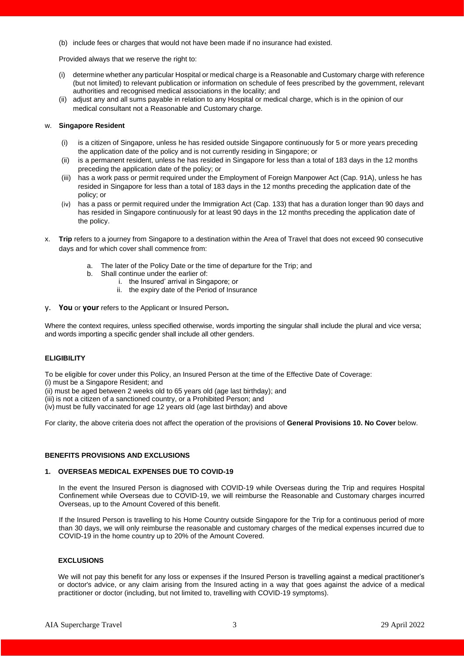(b) include fees or charges that would not have been made if no insurance had existed.

Provided always that we reserve the right to:

- (i) determine whether any particular Hospital or medical charge is a Reasonable and Customary charge with reference (but not limited) to relevant publication or information on schedule of fees prescribed by the government, relevant authorities and recognised medical associations in the locality; and
- (ii) adjust any and all sums payable in relation to any Hospital or medical charge, which is in the opinion of our medical consultant not a Reasonable and Customary charge.

### w. **Singapore Resident**

- (i) is a citizen of Singapore, unless he has resided outside Singapore continuously for 5 or more years preceding the application date of the policy and is not currently residing in Singapore; or
- (ii) is a permanent resident, unless he has resided in Singapore for less than a total of 183 days in the 12 months preceding the application date of the policy; or
- (iii) has a work pass or permit required under the Employment of Foreign Manpower Act (Cap. 91A), unless he has resided in Singapore for less than a total of 183 days in the 12 months preceding the application date of the policy; or
- (iv) has a pass or permit required under the Immigration Act (Cap. 133) that has a duration longer than 90 days and has resided in Singapore continuously for at least 90 days in the 12 months preceding the application date of the policy.
- x. **Trip** refers to a journey from Singapore to a destination within the Area of Travel that does not exceed 90 consecutive days and for which cover shall commence from:
	- a. The later of the Policy Date or the time of departure for the Trip; and
	- b. Shall continue under the earlier of:
		- i. the Insured' arrival in Singapore; or
		- ii. the expiry date of the Period of Insurance
- y. **You** or **your** refers to the Applicant or Insured Person**.**

Where the context requires, unless specified otherwise, words importing the singular shall include the plural and vice versa; and words importing a specific gender shall include all other genders.

# **ELIGIBILITY**

To be eligible for cover under this Policy, an Insured Person at the time of the Effective Date of Coverage:

(i) must be a Singapore Resident; and

(ii) must be aged between 2 weeks old to 65 years old (age last birthday); and

(iii) is not a citizen of a sanctioned country, or a Prohibited Person; and

(iv) must be fully vaccinated for age 12 years old (age last birthday) and above

For clarity, the above criteria does not affect the operation of the provisions of **General Provisions 10. No Cover** below.

# **BENEFITS PROVISIONS AND EXCLUSIONS**

#### **1. OVERSEAS MEDICAL EXPENSES DUE TO COVID-19**

In the event the Insured Person is diagnosed with COVID-19 while Overseas during the Trip and requires Hospital Confinement while Overseas due to COVID-19, we will reimburse the Reasonable and Customary charges incurred Overseas, up to the Amount Covered of this benefit.

If the Insured Person is travelling to his Home Country outside Singapore for the Trip for a continuous period of more than 30 days, we will only reimburse the reasonable and customary charges of the medical expenses incurred due to COVID-19 in the home country up to 20% of the Amount Covered.

# **EXCLUSIONS**

We will not pay this benefit for any loss or expenses if the Insured Person is travelling against a medical practitioner's or doctor's advice, or any claim arising from the Insured acting in a way that goes against the advice of a medical practitioner or doctor (including, but not limited to, travelling with COVID-19 symptoms).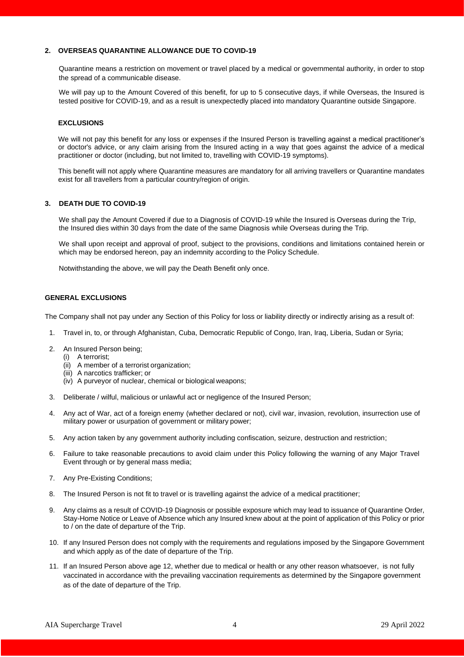# **2. OVERSEAS QUARANTINE ALLOWANCE DUE TO COVID-19**

Quarantine means a restriction on movement or travel placed by a medical or governmental authority, in order to stop the spread of a communicable disease.

We will pay up to the Amount Covered of this benefit, for up to 5 consecutive days, if while Overseas, the Insured is tested positive for COVID-19, and as a result is unexpectedly placed into mandatory Quarantine outside Singapore.

#### **EXCLUSIONS**

We will not pay this benefit for any loss or expenses if the Insured Person is travelling against a medical practitioner's or doctor's advice, or any claim arising from the Insured acting in a way that goes against the advice of a medical practitioner or doctor (including, but not limited to, travelling with COVID-19 symptoms).

This benefit will not apply where Quarantine measures are mandatory for all arriving travellers or Quarantine mandates exist for all travellers from a particular country/region of origin.

# **3. DEATH DUE TO COVID-19**

We shall pay the Amount Covered if due to a Diagnosis of COVID-19 while the Insured is Overseas during the Trip, the Insured dies within 30 days from the date of the same Diagnosis while Overseas during the Trip.

We shall upon receipt and approval of proof, subject to the provisions, conditions and limitations contained herein or which may be endorsed hereon, pay an indemnity according to the Policy Schedule.

Notwithstanding the above, we will pay the Death Benefit only once.

# **GENERAL EXCLUSIONS**

The Company shall not pay under any Section of this Policy for loss or liability directly or indirectly arising as a result of:

- 1. Travel in, to, or through Afghanistan, Cuba, Democratic Republic of Congo, Iran, Iraq, Liberia, Sudan or Syria;
- 2. An Insured Person being;
	- (i) A terrorist;
	- (ii) A member of a terrorist organization;
	- (iii) A narcotics trafficker; or
	- (iv) A purveyor of nuclear, chemical or biological weapons;
- 3. Deliberate / wilful, malicious or unlawful act or negligence of the Insured Person;
- 4. Any act of War, act of a foreign enemy (whether declared or not), civil war, invasion, revolution, insurrection use of military power or usurpation of government or military power;
- 5. Any action taken by any government authority including confiscation, seizure, destruction and restriction;
- 6. Failure to take reasonable precautions to avoid claim under this Policy following the warning of any Major Travel Event through or by general mass media;
- 7. Any Pre-Existing Conditions;
- 8. The Insured Person is not fit to travel or is travelling against the advice of a medical practitioner;
- 9. Any claims as a result of COVID-19 Diagnosis or possible exposure which may lead to issuance of Quarantine Order, Stay-Home Notice or Leave of Absence which any Insured knew about at the point of application of this Policy or prior to / on the date of departure of the Trip.
- 10. If any Insured Person does not comply with the requirements and regulations imposed by the Singapore Government and which apply as of the date of departure of the Trip.
- 11. If an Insured Person above age 12, whether due to medical or health or any other reason whatsoever, is not fully vaccinated in accordance with the prevailing vaccination requirements as determined by the Singapore government as of the date of departure of the Trip.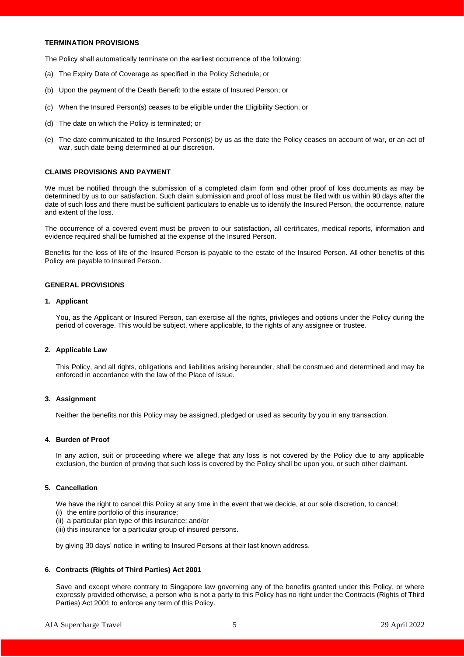# **TERMINATION PROVISIONS**

The Policy shall automatically terminate on the earliest occurrence of the following:

- (a) The Expiry Date of Coverage as specified in the Policy Schedule; or
- (b) Upon the payment of the Death Benefit to the estate of Insured Person; or
- (c) When the Insured Person(s) ceases to be eligible under the Eligibility Section; or
- (d) The date on which the Policy is terminated; or
- (e) The date communicated to the Insured Person(s) by us as the date the Policy ceases on account of war, or an act of war, such date being determined at our discretion.

# **CLAIMS PROVISIONS AND PAYMENT**

We must be notified through the submission of a completed claim form and other proof of loss documents as may be determined by us to our satisfaction. Such claim submission and proof of loss must be filed with us within 90 days after the date of such loss and there must be sufficient particulars to enable us to identify the Insured Person, the occurrence, nature and extent of the loss.

The occurrence of a covered event must be proven to our satisfaction, all certificates, medical reports, information and evidence required shall be furnished at the expense of the Insured Person.

Benefits for the loss of life of the Insured Person is payable to the estate of the Insured Person. All other benefits of this Policy are payable to Insured Person.

#### **GENERAL PROVISIONS**

#### **1. Applicant**

You, as the Applicant or Insured Person, can exercise all the rights, privileges and options under the Policy during the period of coverage. This would be subject, where applicable, to the rights of any assignee or trustee.

#### **2. Applicable Law**

This Policy, and all rights, obligations and liabilities arising hereunder, shall be construed and determined and may be enforced in accordance with the law of the Place of Issue.

#### **3. Assignment**

Neither the benefits nor this Policy may be assigned, pledged or used as security by you in any transaction.

# **4. Burden of Proof**

In any action, suit or proceeding where we allege that any loss is not covered by the Policy due to any applicable exclusion, the burden of proving that such loss is covered by the Policy shall be upon you, or such other claimant.

#### **5. Cancellation**

We have the right to cancel this Policy at any time in the event that we decide, at our sole discretion, to cancel:

- (i) the entire portfolio of this insurance;
- (ii) a particular plan type of this insurance; and/or
- (iii) this insurance for a particular group of insured persons.

by giving 30 days' notice in writing to Insured Persons at their last known address.

#### **6. Contracts (Rights of Third Parties) Act 2001**

Save and except where contrary to Singapore law governing any of the benefits granted under this Policy, or where expressly provided otherwise, a person who is not a party to this Policy has no right under the Contracts (Rights of Third Parties) Act 2001 to enforce any term of this Policy.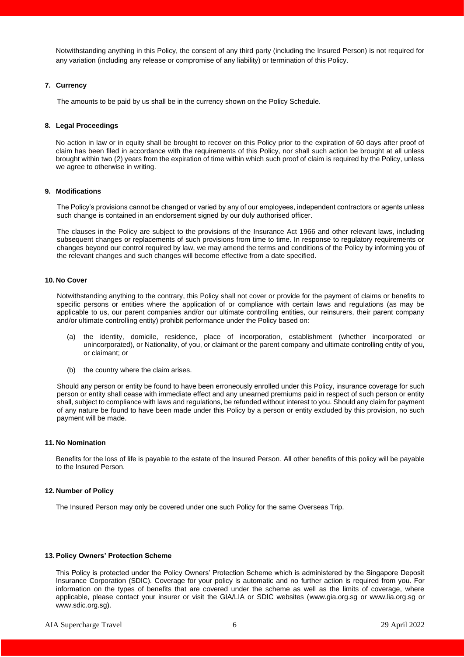Notwithstanding anything in this Policy, the consent of any third party (including the Insured Person) is not required for any variation (including any release or compromise of any liability) or termination of this Policy.

#### **7. Currency**

The amounts to be paid by us shall be in the currency shown on the Policy Schedule.

#### **8. Legal Proceedings**

No action in law or in equity shall be brought to recover on this Policy prior to the expiration of 60 days after proof of claim has been filed in accordance with the requirements of this Policy, nor shall such action be brought at all unless brought within two (2) years from the expiration of time within which such proof of claim is required by the Policy, unless we agree to otherwise in writing.

#### **9. Modifications**

The Policy's provisions cannot be changed or varied by any of our employees, independent contractors or agents unless such change is contained in an endorsement signed by our duly authorised officer.

The clauses in the Policy are subject to the provisions of the Insurance Act 1966 and other relevant laws, including subsequent changes or replacements of such provisions from time to time. In response to regulatory requirements or changes beyond our control required by law, we may amend the terms and conditions of the Policy by informing you of the relevant changes and such changes will become effective from a date specified.

#### **10. No Cover**

Notwithstanding anything to the contrary, this Policy shall not cover or provide for the payment of claims or benefits to specific persons or entities where the application of or compliance with certain laws and regulations (as may be applicable to us, our parent companies and/or our ultimate controlling entities, our reinsurers, their parent company and/or ultimate controlling entity) prohibit performance under the Policy based on:

- (a) the identity, domicile, residence, place of incorporation, establishment (whether incorporated or unincorporated), or Nationality, of you, or claimant or the parent company and ultimate controlling entity of you, or claimant; or
- (b) the country where the claim arises.

Should any person or entity be found to have been erroneously enrolled under this Policy, insurance coverage for such person or entity shall cease with immediate effect and any unearned premiums paid in respect of such person or entity shall, subject to compliance with laws and regulations, be refunded without interest to you. Should any claim for payment of any nature be found to have been made under this Policy by a person or entity excluded by this provision, no such payment will be made.

# **11. No Nomination**

Benefits for the loss of life is payable to the estate of the Insured Person. All other benefits of this policy will be payable to the Insured Person.

## **12. Number of Policy**

The Insured Person may only be covered under one such Policy for the same Overseas Trip.

#### **13. Policy Owners' Protection Scheme**

This Policy is protected under the Policy Owners' Protection Scheme which is administered by the Singapore Deposit Insurance Corporation (SDIC). Coverage for your policy is automatic and no further action is required from you. For information on the types of benefits that are covered under the scheme as well as the limits of coverage, where applicable, please contact your insurer or visit the GIA/LIA or SDIC websites [\(www.gia.org.sg](http://www.gia.org.sg/) or [www.lia.org.sg](http://www.lia.org.sg/) or [www.sdic.org.sg\)](http://www.sdic.org.sg/).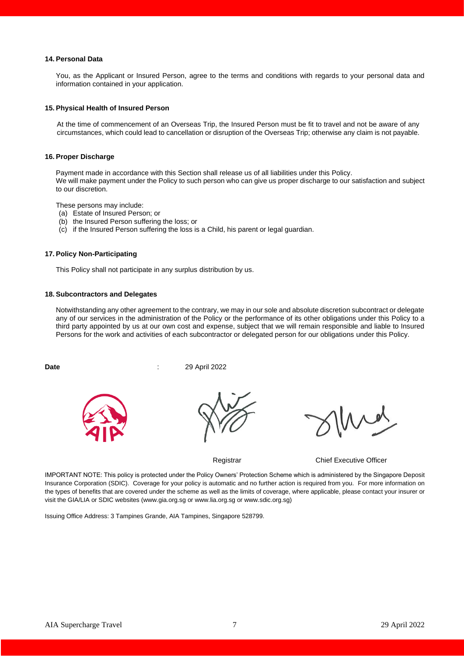#### **14. Personal Data**

You, as the Applicant or Insured Person, agree to the terms and conditions with regards to your personal data and information contained in your application.

# **15. Physical Health of Insured Person**

At the time of commencement of an Overseas Trip, the Insured Person must be fit to travel and not be aware of any circumstances, which could lead to cancellation or disruption of the Overseas Trip; otherwise any claim is not payable.

#### **16. Proper Discharge**

Payment made in accordance with this Section shall release us of all liabilities under this Policy. We will make payment under the Policy to such person who can give us proper discharge to our satisfaction and subject to our discretion.

These persons may include:

- (a) Estate of Insured Person; or
- (b) the Insured Person suffering the loss; or
- (c) if the Insured Person suffering the loss is a Child, his parent or legal guardian.

#### **17. Policy Non-Participating**

This Policy shall not participate in any surplus distribution by us.

# **18. Subcontractors and Delegates**

Notwithstanding any other agreement to the contrary, we may in our sole and absolute discretion subcontract or delegate any of our services in the administration of the Policy or the performance of its other obligations under this Policy to a third party appointed by us at our own cost and expense, subject that we will remain responsible and liable to Insured Persons for the work and activities of each subcontractor or delegated person for our obligations under this Policy.

**Date** : 29 April 2022





Registrar **Chief Executive Officer** 

IMPORTANT NOTE: This policy is protected under the Policy Owners' Protection Scheme which is administered by the Singapore Deposit Insurance Corporation (SDIC). Coverage for your policy is automatic and no further action is required from you. For more information on the types of benefits that are covered under the scheme as well as the limits of coverage, where applicable, please contact your insurer or visit the GIA/LIA or SDIC websites (www.gia.org.sg or www.lia.org.sg or www.sdic.org.sg)

Issuing Office Address: 3 Tampines Grande, AIA Tampines, Singapore 528799.